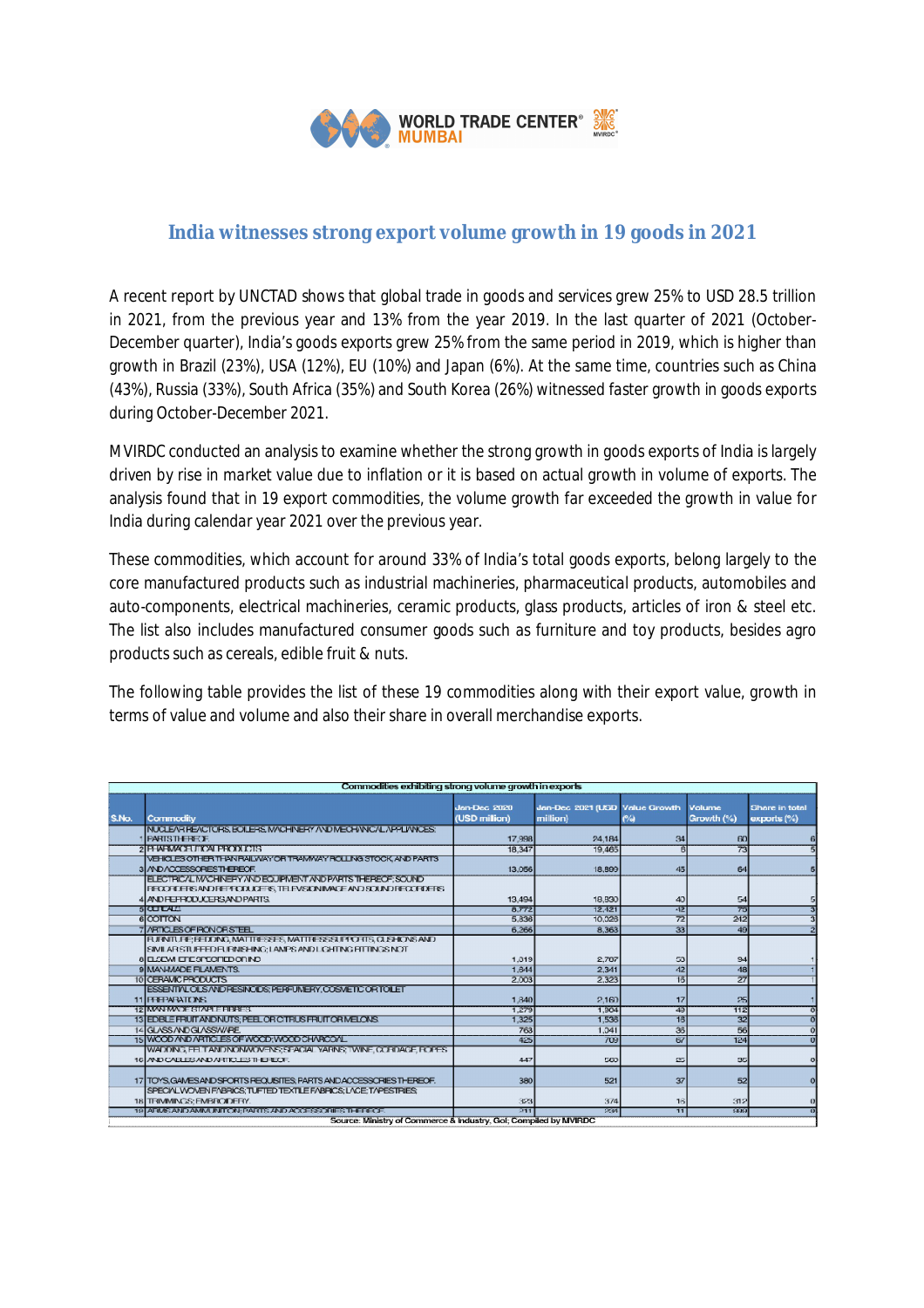

## **India witnesses strong export volume growth in 19 goods in 2021**

A recent report by UNCTAD shows that global trade in goods and services grew 25% to USD 28.5 trillion in 2021, from the previous year and 13% from the year 2019. In the last quarter of 2021 (October-December quarter), India's goods exports grew 25% from the same period in 2019, which is higher than growth in Brazil (23%), USA (12%), EU (10%) and Japan (6%). At the same time, countries such as China (43%), Russia (33%), South Africa (35%) and South Korea (26%) witnessed faster growth in goods exports during October-December 2021.

MVIRDC conducted an analysis to examine whether the strong growth in goods exports of India is largely driven by rise in market value due to inflation or it is based on actual growth in volume of exports. The analysis found that in 19 export commodities, the volume growth far exceeded the growth in value for India during calendar year 2021 over the previous year.

These commodities, which account for around 33% of India's total goods exports, belong largely to the core manufactured products such as industrial machineries, pharmaceutical products, automobiles and auto-components, electrical machineries, ceramic products, glass products, articles of iron & steel etc. The list also includes manufactured consumer goods such as furniture and toy products, besides agro products such as cereals, edible fruit & nuts.

The following table provides the list of these 19 commodities along with their export value, growth in terms of value and volume and also their share in overall merchandise exports.

| Commodities exhibiting strong volume growth in exports           |                                                                     |                                      |                                            |                 |                      |                                          |
|------------------------------------------------------------------|---------------------------------------------------------------------|--------------------------------------|--------------------------------------------|-----------------|----------------------|------------------------------------------|
| S.No.                                                            | Commodity                                                           | <b>Jan-Dec 2020</b><br>(USD million) | Jan-Dec 2021 (USD Value Growth<br>million) | $\sim$          | Volume<br>Growth (%) | <b>Share in total</b><br>$exports$ $(*)$ |
|                                                                  | INUCLEAR REACTORS, BOILERS, MACHINERY AND MECHANICAL APPLANCES.     |                                      |                                            |                 |                      |                                          |
|                                                                  | <b>PARTSTHEREOF.</b>                                                | 17,998                               | 24.184                                     | 34              | 60                   | 6                                        |
|                                                                  | <b>2 PHARMACHTICAL PRODUCTS</b>                                     | 18,347                               | 19.465                                     |                 | 73                   | Ħ                                        |
|                                                                  | VEHICLES OTHER THAN RAILWAY OR TRAMWAY ROLLING STOCK, AND PARTS     |                                      |                                            |                 |                      |                                          |
|                                                                  | 3 / ND ACCESSORES THEREOF.                                          | 13,056                               | 18,899                                     | 45              | 64                   | 5                                        |
|                                                                  | ELECTRIC/LIM/CHINERY AND EQUIPMENT AND PARTS THEREOF: SOUND         |                                      |                                            |                 |                      |                                          |
|                                                                  | RECORDERS AND REPRODUCERS, TELEVISION IMAGE AND SOUND RECORDERS.    |                                      |                                            |                 |                      |                                          |
|                                                                  | 4 AND FEFRODUCERS AND PARTS.                                        | 13.494                               | 18,830                                     | 40              | 54                   | 51                                       |
|                                                                  | あい コント                                                              | 8,772                                | 12,421                                     | 42              | 75                   | 3                                        |
|                                                                  | 6 COTTON                                                            | 5.336                                | 10.026                                     | $\overline{72}$ | 242                  | 3 <sub>l</sub>                           |
|                                                                  | 7 / ARTICLES OF PONORS TEEL                                         | 6.266                                | 8.363                                      | 33              | 49                   | $\overline{2}$                           |
|                                                                  | FURNITURE: BEDDING, MATTRESSES, MATTRESS SUPPORTS, CLISHIONS AND    |                                      |                                            |                 |                      |                                          |
|                                                                  | SIMILAR STUFFED FURNISHING: LAMPS AND LIGHTING FITTINGS NOT         |                                      |                                            |                 |                      |                                          |
|                                                                  | 8 E SEW EFE SPECTED OR NO                                           | 1,319                                | 2.787                                      | 53              | 94                   |                                          |
|                                                                  | 9 MAN-MADE FILAMENTS.                                               | 1.644                                | 2.341                                      | 42              | 48                   |                                          |
|                                                                  | 10 CERAMIC PRODUCTS                                                 | 2.003                                | 2.323                                      | $\overline{15}$ | 27                   |                                          |
|                                                                  | ESSENTIVLOLS/WDRESINODS: PERFUMERY.COSMETICORTOILET                 |                                      |                                            |                 |                      |                                          |
|                                                                  | 11 FEBRARATORS                                                      | 1.840                                | 2,160                                      | 17              | 25                   |                                          |
|                                                                  | 12 MAN-MADE STAPLE FIBRES.                                          | 1.279                                | 1.904                                      | 49              | TIP.                 | ō                                        |
|                                                                  | 13 EDBLE FRUIT AND NUTS; PEEL OR CITRUS FRUIT OR MELONS.            | 1.325                                | 1.536                                      | 18              | 32                   | $\bullet$                                |
|                                                                  | 14 GLASS AND GLASS NAPE.                                            | 763                                  | 1.041                                      | 35              | 56                   | $\overline{0}$                           |
|                                                                  | 15 WCOD AND ARTICLES OF WOOD: WOOD CHARCOAL                         | 425                                  | 709                                        | 67              | 124                  | $\overline{0}$                           |
|                                                                  | WADDING FELT AND NONWOVENS; SPACIAL YARNS; TWINE, CORDAGE ROPES.    |                                      |                                            |                 |                      |                                          |
|                                                                  | 16 AND CABLES AND ARTICLES THEFECK.                                 | 447                                  | 560                                        | 25              | 35                   | $\circ$                                  |
|                                                                  |                                                                     |                                      |                                            |                 |                      |                                          |
|                                                                  | 17 TOYS GAMES AND SPORTS FEQUISITES, PARTS AND ACCESSORIES THEREOF. | 380                                  | 521                                        | 37              | 52                   | $\circ$                                  |
|                                                                  | SPECIAL WONEN FABRICS: TUFTED TEXTILE FABRICS: LACE: TAPESTRIES:    |                                      |                                            |                 |                      |                                          |
|                                                                  | 18 TRIMMINGS: EMBRODERY.                                            | 323                                  | 374                                        | 16              | 312                  | $\vert 0 \vert$                          |
|                                                                  | 19 ARMS AND AMMUNITON, PARTS AND ACCESS CRIES THEREOD               | 211                                  | 234                                        | $\overline{11}$ | 999                  | о                                        |
| Source: Ministry of Commerce & Industry, Gol: Compiled by MVIRDC |                                                                     |                                      |                                            |                 |                      |                                          |